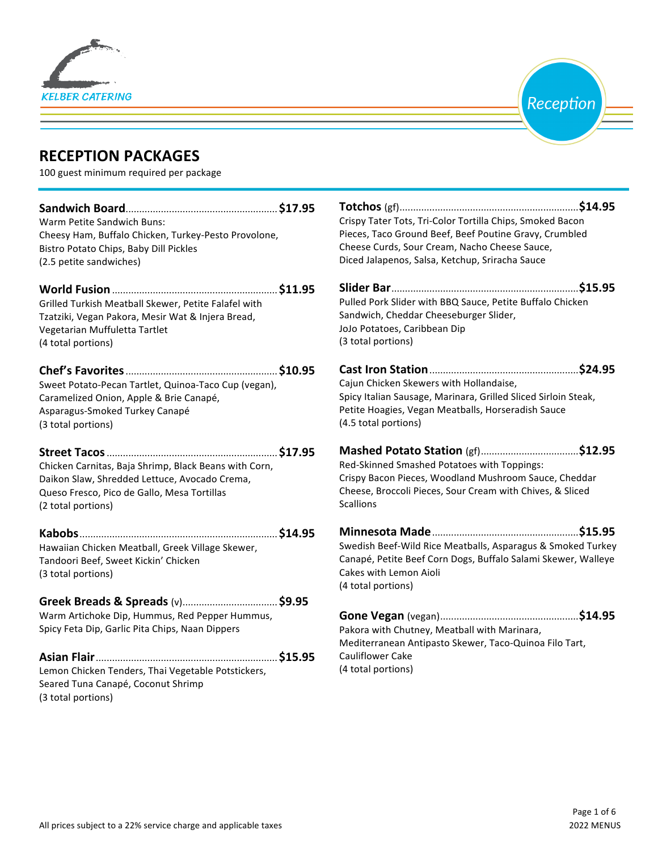



# **RECEPTION PACKAGES**

100 guest minimum required per package

| Warm Petite Sandwich Buns:                            | Crispy Tater Tots, Tri-Color Tortilla Chips, Smoked Bacon      |  |
|-------------------------------------------------------|----------------------------------------------------------------|--|
| Cheesy Ham, Buffalo Chicken, Turkey-Pesto Provolone,  | Pieces, Taco Ground Beef, Beef Poutine Gravy, Crumbled         |  |
| Bistro Potato Chips, Baby Dill Pickles                | Cheese Curds, Sour Cream, Nacho Cheese Sauce,                  |  |
| (2.5 petite sandwiches)                               | Diced Jalapenos, Salsa, Ketchup, Sriracha Sauce                |  |
|                                                       |                                                                |  |
| Grilled Turkish Meatball Skewer, Petite Falafel with  | Pulled Pork Slider with BBQ Sauce, Petite Buffalo Chicken      |  |
| Tzatziki, Vegan Pakora, Mesir Wat & Injera Bread,     | Sandwich, Cheddar Cheeseburger Slider,                         |  |
| Vegetarian Muffuletta Tartlet                         | JoJo Potatoes, Caribbean Dip                                   |  |
| (4 total portions)                                    | (3 total portions)                                             |  |
|                                                       |                                                                |  |
| Sweet Potato-Pecan Tartlet, Quinoa-Taco Cup (vegan),  | Cajun Chicken Skewers with Hollandaise,                        |  |
| Caramelized Onion, Apple & Brie Canapé,               | Spicy Italian Sausage, Marinara, Grilled Sliced Sirloin Steak, |  |
| Asparagus-Smoked Turkey Canapé                        | Petite Hoagies, Vegan Meatballs, Horseradish Sauce             |  |
| (3 total portions)                                    | (4.5 total portions)                                           |  |
|                                                       |                                                                |  |
| Chicken Carnitas, Baja Shrimp, Black Beans with Corn, | Red-Skinned Smashed Potatoes with Toppings:                    |  |
| Daikon Slaw, Shredded Lettuce, Avocado Crema,         | Crispy Bacon Pieces, Woodland Mushroom Sauce, Cheddar          |  |
| Queso Fresco, Pico de Gallo, Mesa Tortillas           | Cheese, Broccoli Pieces, Sour Cream with Chives, & Sliced      |  |
| (2 total portions)                                    | <b>Scallions</b>                                               |  |
|                                                       |                                                                |  |
| Hawaiian Chicken Meatball, Greek Village Skewer,      | Swedish Beef-Wild Rice Meatballs, Asparagus & Smoked Turkey    |  |
| Tandoori Beef, Sweet Kickin' Chicken                  | Canapé, Petite Beef Corn Dogs, Buffalo Salami Skewer, Walleye  |  |
| (3 total portions)                                    | Cakes with Lemon Aioli                                         |  |
|                                                       | (4 total portions)                                             |  |
|                                                       |                                                                |  |
| Warm Artichoke Dip, Hummus, Red Pepper Hummus,        |                                                                |  |
| Spicy Feta Dip, Garlic Pita Chips, Naan Dippers       | Pakora with Chutney, Meatball with Marinara,                   |  |
|                                                       | Mediterranean Antipasto Skewer, Taco-Quinoa Filo Tart,         |  |
|                                                       | Cauliflower Cake                                               |  |
| Lemon Chicken Tenders, Thai Vegetable Potstickers,    | (4 total portions)                                             |  |
| Seared Tuna Canapé, Coconut Shrimp                    |                                                                |  |

(3 total portions)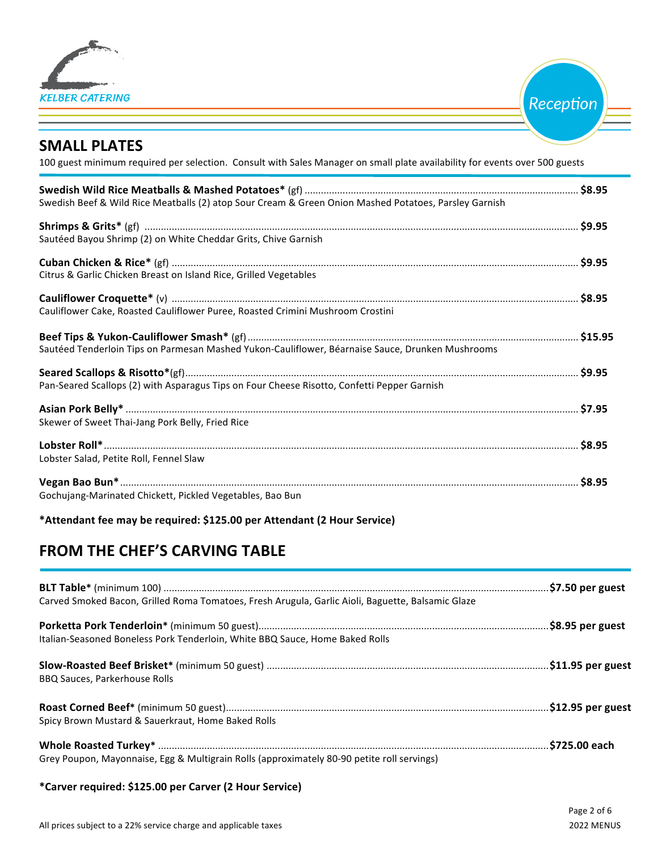

Reception

## **SMALL PLATES**

100 guest minimum required per selection. Consult with Sales Manager on small plate availability for events over 500 guests

| Swedish Beef & Wild Rice Meatballs (2) atop Sour Cream & Green Onion Mashed Potatoes, Parsley Garnish |  |
|-------------------------------------------------------------------------------------------------------|--|
| Sautéed Bayou Shrimp (2) on White Cheddar Grits, Chive Garnish                                        |  |
| Citrus & Garlic Chicken Breast on Island Rice, Grilled Vegetables                                     |  |
| Cauliflower Cake, Roasted Cauliflower Puree, Roasted Crimini Mushroom Crostini                        |  |
| Sautéed Tenderloin Tips on Parmesan Mashed Yukon-Cauliflower, Béarnaise Sauce, Drunken Mushrooms      |  |
| Pan-Seared Scallops (2) with Asparagus Tips on Four Cheese Risotto, Confetti Pepper Garnish           |  |
| Skewer of Sweet Thai-Jang Pork Belly, Fried Rice                                                      |  |
| Lobster Salad, Petite Roll, Fennel Slaw                                                               |  |
| Gochujang-Marinated Chickett, Pickled Vegetables, Bao Bun                                             |  |

**\*Attendant fee may be required: \$125.00 per Attendant (2 Hour Service)**

# **FROM THE CHEF'S CARVING TABLE**

| Carved Smoked Bacon, Grilled Roma Tomatoes, Fresh Arugula, Garlic Aioli, Baguette, Balsamic Glaze |  |
|---------------------------------------------------------------------------------------------------|--|
| Italian-Seasoned Boneless Pork Tenderloin, White BBQ Sauce, Home Baked Rolls                      |  |
| <b>BBQ Sauces, Parkerhouse Rolls</b>                                                              |  |
| Spicy Brown Mustard & Sauerkraut, Home Baked Rolls                                                |  |
| Grey Poupon, Mayonnaise, Egg & Multigrain Rolls (approximately 80-90 petite roll servings)        |  |

### **\*Carver required: \$125.00 per Carver (2 Hour Service)**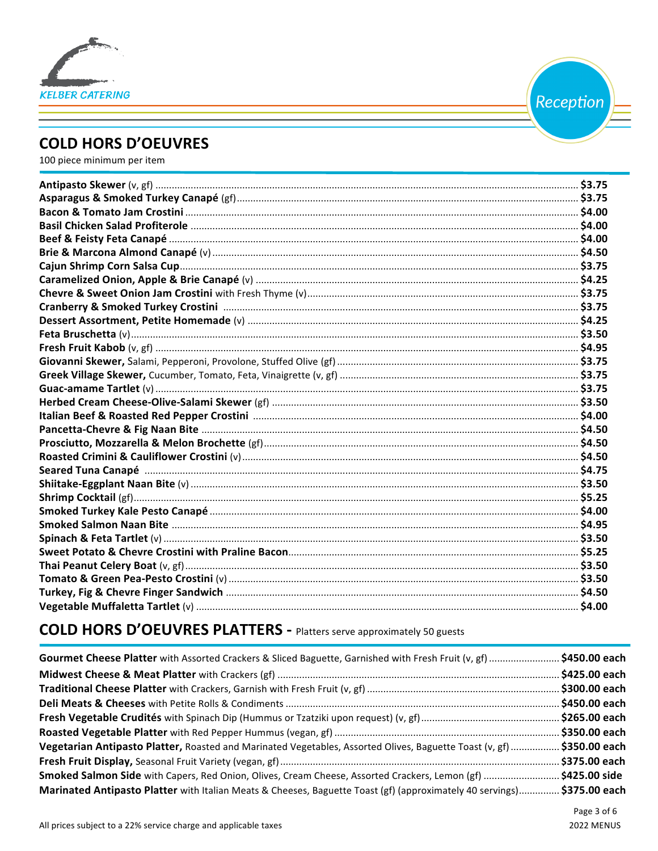

Reception

## **COLD HORS D'OEUVRES**

100 piece minimum per item

# **COLD HORS D'OEUVRES PLATTERS - Platters serve approximately 50 guests**

| Gourmet Cheese Platter with Assorted Crackers & Sliced Baguette, Garnished with Fresh Fruit (v, gf) \$450.00 each       |  |
|-------------------------------------------------------------------------------------------------------------------------|--|
|                                                                                                                         |  |
|                                                                                                                         |  |
|                                                                                                                         |  |
|                                                                                                                         |  |
|                                                                                                                         |  |
| Vegetarian Antipasto Platter, Roasted and Marinated Vegetables, Assorted Olives, Baguette Toast (v, gf)  \$350.00 each  |  |
|                                                                                                                         |  |
| Smoked Salmon Side with Capers, Red Onion, Olives, Cream Cheese, Assorted Crackers, Lemon (gf) \$425.00 side            |  |
| Marinated Antipasto Platter with Italian Meats & Cheeses, Baguette Toast (gf) (approximately 40 servings) \$375.00 each |  |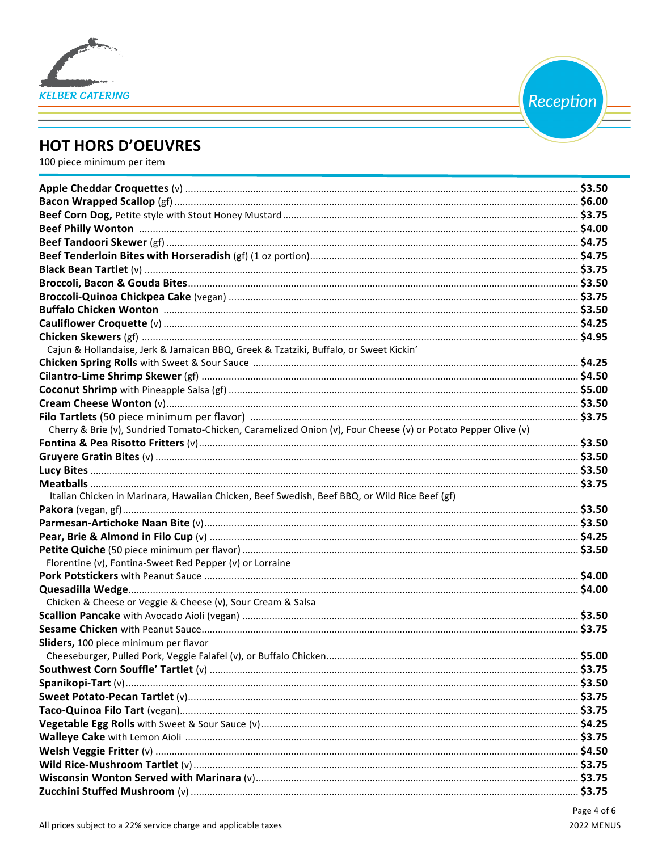

Reception

# **HOT HORS D'OEUVRES**

100 piece minimum per item

| Cajun & Hollandaise, Jerk & Jamaican BBQ, Greek & Tzatziki, Buffalo, or Sweet Kickin'                         |  |
|---------------------------------------------------------------------------------------------------------------|--|
|                                                                                                               |  |
|                                                                                                               |  |
|                                                                                                               |  |
|                                                                                                               |  |
|                                                                                                               |  |
| Cherry & Brie (v), Sundried Tomato-Chicken, Caramelized Onion (v), Four Cheese (v) or Potato Pepper Olive (v) |  |
|                                                                                                               |  |
|                                                                                                               |  |
|                                                                                                               |  |
|                                                                                                               |  |
| Italian Chicken in Marinara, Hawaiian Chicken, Beef Swedish, Beef BBQ, or Wild Rice Beef (gf)                 |  |
|                                                                                                               |  |
|                                                                                                               |  |
|                                                                                                               |  |
|                                                                                                               |  |
| Florentine (v), Fontina-Sweet Red Pepper (v) or Lorraine                                                      |  |
|                                                                                                               |  |
|                                                                                                               |  |
| Chicken & Cheese or Veggie & Cheese (v), Sour Cream & Salsa                                                   |  |
|                                                                                                               |  |
|                                                                                                               |  |
| Sliders, 100 piece minimum per flavor                                                                         |  |
|                                                                                                               |  |
|                                                                                                               |  |
|                                                                                                               |  |
|                                                                                                               |  |
|                                                                                                               |  |
|                                                                                                               |  |
|                                                                                                               |  |
|                                                                                                               |  |
|                                                                                                               |  |
|                                                                                                               |  |
|                                                                                                               |  |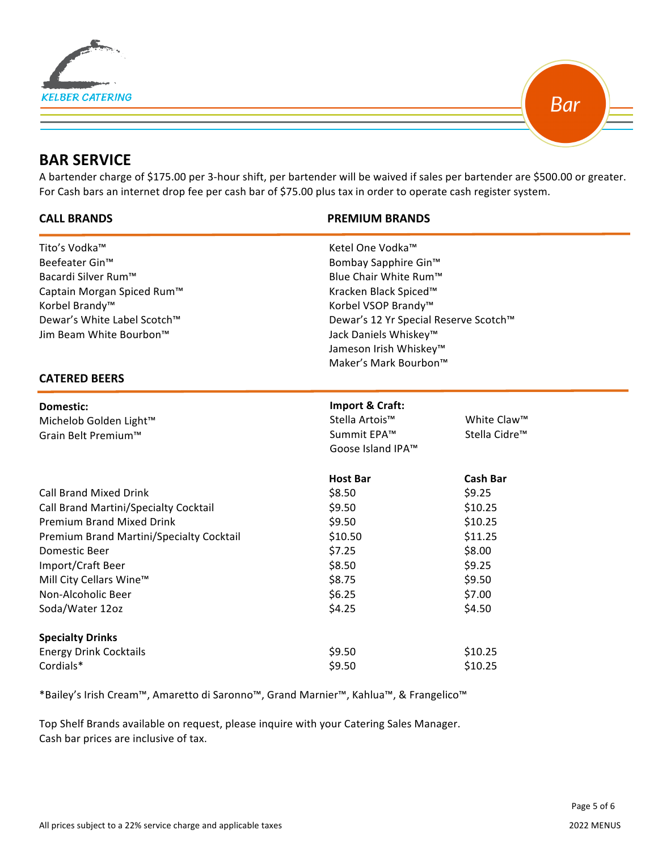



## **BAR SERVICE**

 $\overline{a}$ 

A bartender charge of \$175.00 per 3-hour shift, per bartender will be waived if sales per bartender are \$500.00 or greater. For Cash bars an internet drop fee per cash bar of \$75.00 plus tax in order to operate cash register system.

#### **CALL BRANDS PREMIUM BRANDS**

| Tito's Vodka™                                     | Ketel One Vodka™                               |                           |  |                            |
|---------------------------------------------------|------------------------------------------------|---------------------------|--|----------------------------|
| Beefeater Gin™                                    | Bombay Sapphire Gin™                           |                           |  |                            |
| Bacardi Silver Rum™<br>Captain Morgan Spiced Rum™ | Blue Chair White Rum™<br>Kracken Black Spiced™ |                           |  |                            |
|                                                   |                                                |                           |  | Korbel Brandy <sup>™</sup> |
| Dewar's White Label Scotch™                       | Dewar's 12 Yr Special Reserve Scotch™          |                           |  |                            |
| Jim Beam White Bourbon™                           | Jack Daniels Whiskey <sup>™</sup>              |                           |  |                            |
|                                                   | Jameson Irish Whiskey™                         |                           |  |                            |
|                                                   | Maker's Mark Bourbon™                          |                           |  |                            |
| <b>CATERED BEERS</b>                              |                                                |                           |  |                            |
| Domestic:                                         | Import & Craft:                                |                           |  |                            |
| Michelob Golden Light™                            | Stella Artois™                                 | White Claw <sup>™</sup>   |  |                            |
| Grain Belt Premium™                               | Summit EPA™                                    | Stella Cidre <sup>™</sup> |  |                            |
|                                                   | Goose Island IPA™                              |                           |  |                            |
|                                                   | <b>Host Bar</b>                                | <b>Cash Bar</b>           |  |                            |
| <b>Call Brand Mixed Drink</b>                     | \$8.50                                         | \$9.25                    |  |                            |
| Call Brand Martini/Specialty Cocktail             | \$9.50                                         | \$10.25                   |  |                            |
| <b>Premium Brand Mixed Drink</b>                  | \$9.50                                         | \$10.25                   |  |                            |
| Premium Brand Martini/Specialty Cocktail          | \$10.50                                        | \$11.25                   |  |                            |
| Domestic Beer                                     | \$7.25                                         | \$8.00                    |  |                            |
| Import/Craft Beer                                 | \$8.50                                         | \$9.25                    |  |                            |
| Mill City Cellars Wine™                           | \$8.75                                         | \$9.50                    |  |                            |
| Non-Alcoholic Beer                                | \$6.25                                         | \$7.00                    |  |                            |
| Soda/Water 12oz                                   | \$4.25                                         | \$4.50                    |  |                            |
| <b>Specialty Drinks</b>                           |                                                |                           |  |                            |
| <b>Energy Drink Cocktails</b>                     | \$9.50                                         | \$10.25                   |  |                            |
| Cordials*                                         | \$9.50                                         | \$10.25                   |  |                            |
|                                                   |                                                |                           |  |                            |

\*Bailey's Irish Cream™, Amaretto di Saronno™, Grand Marnier™, Kahlua™, & Frangelico™

Top Shelf Brands available on request, please inquire with your Catering Sales Manager. Cash bar prices are inclusive of tax.